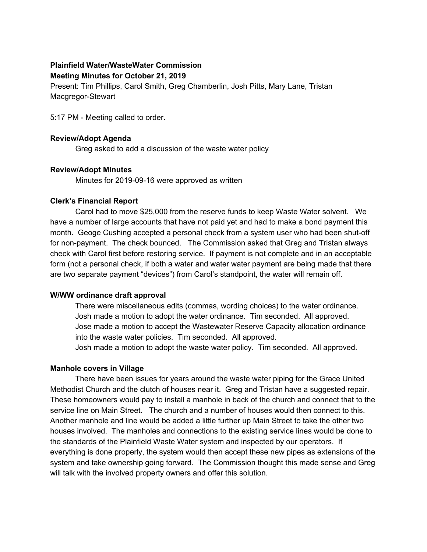## **Plainfield Water/WasteWater Commission Meeting Minutes for October 21, 2019**

Present: Tim Phillips, Carol Smith, Greg Chamberlin, Josh Pitts, Mary Lane, Tristan Macgregor-Stewart

5:17 PM - Meeting called to order.

## **Review/Adopt Agenda**

Greg asked to add a discussion of the waste water policy

## **Review/Adopt Minutes**

Minutes for 2019-09-16 were approved as written

## **Clerk's Financial Report**

Carol had to move \$25,000 from the reserve funds to keep Waste Water solvent. We have a number of large accounts that have not paid yet and had to make a bond payment this month. Geoge Cushing accepted a personal check from a system user who had been shut-off for non-payment. The check bounced. The Commission asked that Greg and Tristan always check with Carol first before restoring service. If payment is not complete and in an acceptable form (not a personal check, if both a water and water water payment are being made that there are two separate payment "devices") from Carol's standpoint, the water will remain off.

## **W/WW ordinance draft approval**

There were miscellaneous edits (commas, wording choices) to the water ordinance. Josh made a motion to adopt the water ordinance. Tim seconded. All approved. Jose made a motion to accept the Wastewater Reserve Capacity allocation ordinance into the waste water policies. Tim seconded. All approved. Josh made a motion to adopt the waste water policy. Tim seconded. All approved.

## **Manhole covers in Village**

There have been issues for years around the waste water piping for the Grace United Methodist Church and the clutch of houses near it. Greg and Tristan have a suggested repair. These homeowners would pay to install a manhole in back of the church and connect that to the service line on Main Street. The church and a number of houses would then connect to this. Another manhole and line would be added a little further up Main Street to take the other two houses involved. The manholes and connections to the existing service lines would be done to the standards of the Plainfield Waste Water system and inspected by our operators. If everything is done properly, the system would then accept these new pipes as extensions of the system and take ownership going forward. The Commission thought this made sense and Greg will talk with the involved property owners and offer this solution.